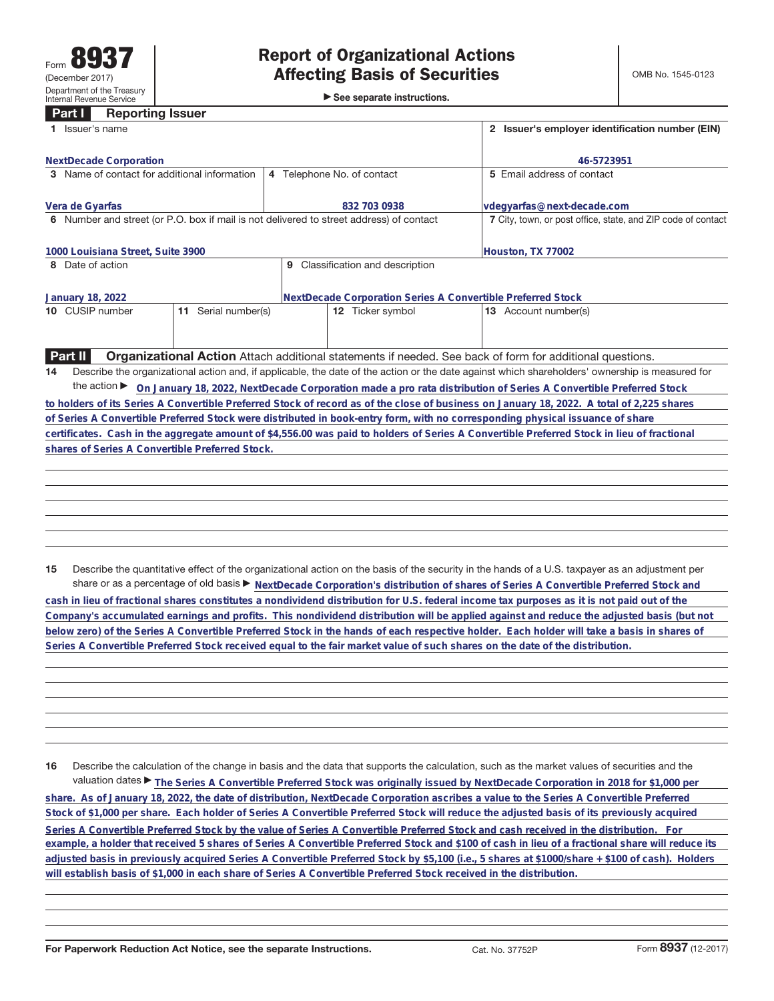►<br>► See separate instructions.

## **Part I Reporting Issuer**

| 1 Issuer's name                                                                                                                                       | 2 Issuer's employer identification number (EIN)                                                                 |                                                                                                                                            |  |  |  |  |  |  |
|-------------------------------------------------------------------------------------------------------------------------------------------------------|-----------------------------------------------------------------------------------------------------------------|--------------------------------------------------------------------------------------------------------------------------------------------|--|--|--|--|--|--|
| <b>NextDecade Corporation</b>                                                                                                                         |                                                                                                                 | 46-5723951                                                                                                                                 |  |  |  |  |  |  |
| 3 Name of contact for additional information                                                                                                          | 5 Email address of contact                                                                                      |                                                                                                                                            |  |  |  |  |  |  |
|                                                                                                                                                       | 4 Telephone No. of contact                                                                                      |                                                                                                                                            |  |  |  |  |  |  |
| Vera de Gyarfas                                                                                                                                       | 832 703 0938                                                                                                    | vdegyarfas@next-decade.com                                                                                                                 |  |  |  |  |  |  |
| 6 Number and street (or P.O. box if mail is not delivered to street address) of contact                                                               |                                                                                                                 | 7 City, town, or post office, state, and ZIP code of contact                                                                               |  |  |  |  |  |  |
|                                                                                                                                                       |                                                                                                                 |                                                                                                                                            |  |  |  |  |  |  |
| 1000 Louisiana Street, Suite 3900                                                                                                                     |                                                                                                                 | Houston, TX 77002                                                                                                                          |  |  |  |  |  |  |
| 8 Date of action                                                                                                                                      |                                                                                                                 |                                                                                                                                            |  |  |  |  |  |  |
|                                                                                                                                                       |                                                                                                                 |                                                                                                                                            |  |  |  |  |  |  |
| January 18, 2022                                                                                                                                      | NextDecade Corporation Series A Convertible Preferred Stock                                                     |                                                                                                                                            |  |  |  |  |  |  |
| 10 CUSIP number<br>Serial number(s)<br>11                                                                                                             | 12 Ticker symbol                                                                                                | 13 Account number(s)                                                                                                                       |  |  |  |  |  |  |
|                                                                                                                                                       |                                                                                                                 |                                                                                                                                            |  |  |  |  |  |  |
|                                                                                                                                                       |                                                                                                                 |                                                                                                                                            |  |  |  |  |  |  |
| <b>Part II</b>                                                                                                                                        | <b>Organizational Action</b> Attach additional statements if needed. See back of form for additional questions. |                                                                                                                                            |  |  |  |  |  |  |
| Describe the organizational action and, if applicable, the date of the action or the date against which shareholders' ownership is measured for<br>14 |                                                                                                                 |                                                                                                                                            |  |  |  |  |  |  |
| the action $\blacktriangleright$<br>On January 18, 2022, NextDecade Corporation made a pro rata distribution of Series A Convertible Preferred Stock  |                                                                                                                 |                                                                                                                                            |  |  |  |  |  |  |
| to holders of its Series A Convertible Preferred Stock of record as of the close of business on January 18, 2022. A total of 2,225 shares             |                                                                                                                 |                                                                                                                                            |  |  |  |  |  |  |
| of Series A Convertible Preferred Stock were distributed in book-entry form, with no corresponding physical issuance of share                         |                                                                                                                 |                                                                                                                                            |  |  |  |  |  |  |
|                                                                                                                                                       |                                                                                                                 | certificates. Cash in the aggregate amount of \$4,556.00 was paid to holders of Series A Convertible Preferred Stock in lieu of fractional |  |  |  |  |  |  |
| shares of Series A Convertible Preferred Stock.                                                                                                       |                                                                                                                 |                                                                                                                                            |  |  |  |  |  |  |
|                                                                                                                                                       |                                                                                                                 |                                                                                                                                            |  |  |  |  |  |  |
|                                                                                                                                                       |                                                                                                                 |                                                                                                                                            |  |  |  |  |  |  |
|                                                                                                                                                       |                                                                                                                 |                                                                                                                                            |  |  |  |  |  |  |
|                                                                                                                                                       |                                                                                                                 |                                                                                                                                            |  |  |  |  |  |  |
|                                                                                                                                                       |                                                                                                                 |                                                                                                                                            |  |  |  |  |  |  |
|                                                                                                                                                       |                                                                                                                 |                                                                                                                                            |  |  |  |  |  |  |
|                                                                                                                                                       |                                                                                                                 |                                                                                                                                            |  |  |  |  |  |  |

**15** Describe the quantitative effect of the organizational action on the basis of the security in the hands of a U.S. taxpayer as an adjustment per share or as a percentage of old basis  $\blacktriangleright$  NextDecade Corporation's distribution of shares of Series A Convertible Preferred Stock and

**cash in lieu of fractional shares constitutes a nondividend distribution for U.S. federal income tax purposes as it is not paid out of the Company's accumulated earnings and profits. This nondividend distribution will be applied against and reduce the adjusted basis (but not below zero) of the Series A Convertible Preferred Stock in the hands of each respective holder. Each holder will take a basis in shares of Series A Convertible Preferred Stock received equal to the fair market value of such shares on the date of the distribution.**

**16** Describe the calculation of the change in basis and the data that supports the calculation, such as the market values of securities and the valuation dates ▶ The Series A Convertible Preferred Stock was originally issued by NextDecade Corporation in 2018 for \$1,000 per **share. As of January 18, 2022, the date of distribution, NextDecade Corporation ascribes a value to the Series A Convertible Preferred Stock of \$1,000 per share. Each holder of Series A Convertible Preferred Stock will reduce the adjusted basis of its previously acquired** Series A Convertible Preferred Stock by the value of Series A Convertible Preferred Stock and cash received in the distribution. For **example, a holder that received 5 shares of Series A Convertible Preferred Stock and \$100 of cash in lieu of a fractional share will reduce its adjusted basis in previously acquired Series A Convertible Preferred Stock by \$5,100 (i.e., 5 shares at \$1000/share + \$100 of cash). Holders will establish basis of \$1,000 in each share of Series A Convertible Preferred Stock received in the distribution.**